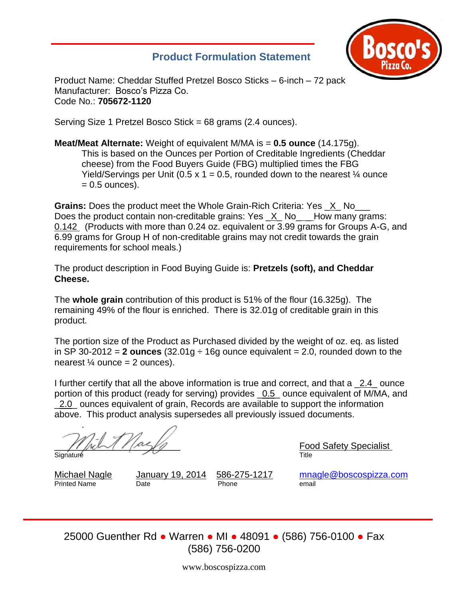## **Product Formulation Statement**



Product Name: Cheddar Stuffed Pretzel Bosco Sticks – 6-inch – 72 pack Manufacturer: Bosco's Pizza Co. Code No.: **705672-1120**

Serving Size 1 Pretzel Bosco Stick = 68 grams (2.4 ounces).

**Meat/Meat Alternate:** Weight of equivalent M/MA is = **0.5 ounce** (14.175g). This is based on the Ounces per Portion of Creditable Ingredients (Cheddar cheese) from the Food Buyers Guide (FBG) multiplied times the FBG Yield/Servings per Unit (0.5 x 1 = 0.5, rounded down to the nearest  $\frac{1}{4}$  ounce  $= 0.5$  ounces).

**Grains:** Does the product meet the Whole Grain-Rich Criteria: Yes \_X\_ No\_\_\_ Does the product contain non-creditable grains: Yes \_X\_No\_ \_ How many grams: 0.142 (Products with more than 0.24 oz. equivalent or 3.99 grams for Groups A-G, and 6.99 grams for Group H of non-creditable grains may not credit towards the grain requirements for school meals.)

The product description in Food Buying Guide is: **Pretzels (soft), and Cheddar Cheese.**

The **whole grain** contribution of this product is 51% of the flour (16.325g). The remaining 49% of the flour is enriched. There is 32.01g of creditable grain in this product.

The portion size of the Product as Purchased divided by the weight of oz. eq. as listed in SP 30-2012 = 2 **ounces**  $(32.01q \div 16q)$  ounce equivalent = 2.0, rounded down to the nearest  $\frac{1}{4}$  ounce = 2 ounces).

I further certify that all the above information is true and correct, and that a 2.4 ounce portion of this product (ready for serving) provides \_0.5\_ ounce equivalent of M/MA, and 2.0 ounces equivalent of grain, Records are available to support the information above. This product analysis supersedes all previously issued documents.

. Signature Title

\_\_\_\_\_\_\_\_\_\_\_\_\_\_\_\_\_\_\_\_\_\_\_\_\_ Food Safety Specialist

Printed Name Date **Date** Phone

Michael Nagle *January 19, 2014* 586-275-1217 [mnagle@boscospizza.com](mailto:mnagle@boscospizza.com)<br>Printed Name **Date** Phone Phone email

25000 Guenther Rd ● Warren ● MI ● 48091 ● (586) 756-0100 ● Fax (586) 756-0200

www.boscospizza.com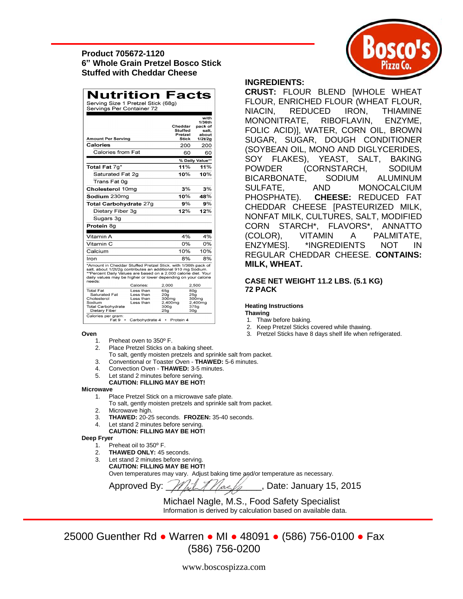### **Product 705672-1120 6" Whole Grain Pretzel Bosco Stick Stuffed with Cheddar Cheese**

| Nutrition                                                                                                                                                                                                                                                                  |                        |                        |                         | Facts            |  |  |  |  |
|----------------------------------------------------------------------------------------------------------------------------------------------------------------------------------------------------------------------------------------------------------------------------|------------------------|------------------------|-------------------------|------------------|--|--|--|--|
| Serving Size 1 Pretzel Stick (68g)                                                                                                                                                                                                                                         |                        |                        |                         |                  |  |  |  |  |
| Servings Per Container 72                                                                                                                                                                                                                                                  |                        |                        |                         |                  |  |  |  |  |
|                                                                                                                                                                                                                                                                            |                        |                        |                         | with             |  |  |  |  |
|                                                                                                                                                                                                                                                                            |                        |                        |                         | 1/36th           |  |  |  |  |
|                                                                                                                                                                                                                                                                            |                        | Cheddar                | Stuffed                 | pack of<br>salt. |  |  |  |  |
|                                                                                                                                                                                                                                                                            |                        |                        | Pretzel                 | about            |  |  |  |  |
| <b>Amount Per Serving</b>                                                                                                                                                                                                                                                  |                        |                        | <b>Stick</b>            | 1/2t/2g          |  |  |  |  |
| Calories                                                                                                                                                                                                                                                                   |                        |                        | 200                     | 200              |  |  |  |  |
| Calories from Fat                                                                                                                                                                                                                                                          |                        |                        | 60                      | 60               |  |  |  |  |
|                                                                                                                                                                                                                                                                            | % Daily Value**        |                        |                         |                  |  |  |  |  |
| Total Fat 7g*                                                                                                                                                                                                                                                              |                        |                        | 11%                     | 11%              |  |  |  |  |
| Saturated Fat 2q                                                                                                                                                                                                                                                           |                        |                        | 10%                     | 10%              |  |  |  |  |
| Trans Fat 0q                                                                                                                                                                                                                                                               |                        |                        |                         |                  |  |  |  |  |
| Cholesterol 10mg                                                                                                                                                                                                                                                           |                        |                        | 3%                      | 3%               |  |  |  |  |
| Sodium 230mg                                                                                                                                                                                                                                                               |                        |                        | 10%                     | 48%              |  |  |  |  |
| <b>Total Carbohydrate 27g</b>                                                                                                                                                                                                                                              |                        |                        | 9%                      | 9%               |  |  |  |  |
| Dietary Fiber 3g                                                                                                                                                                                                                                                           |                        |                        | 12%                     | 12%              |  |  |  |  |
| Sugars 3g                                                                                                                                                                                                                                                                  |                        |                        |                         |                  |  |  |  |  |
| Protein 8g                                                                                                                                                                                                                                                                 |                        |                        |                         |                  |  |  |  |  |
| Vitamin A                                                                                                                                                                                                                                                                  |                        |                        | 4%                      | 4%               |  |  |  |  |
| Vitamin C                                                                                                                                                                                                                                                                  |                        |                        | 0%                      | 0%               |  |  |  |  |
| Calcium                                                                                                                                                                                                                                                                    |                        |                        | 10%                     | 10%              |  |  |  |  |
| Iron                                                                                                                                                                                                                                                                       |                        |                        | 8%                      | 8%               |  |  |  |  |
| *Amount in Cheddar Stuffed Pretzel Stick. with 1/36th pack of<br>salt, about 1/2t/2g contributes an additional 910 mg Sodium.<br>**Percent Daily Values are based on a 2,000 calorie diet. Your<br>daily values may be higher or lower depending on your calorie<br>needs: |                        |                        |                         |                  |  |  |  |  |
|                                                                                                                                                                                                                                                                            | Calories:              | 2,000                  |                         | 2,500            |  |  |  |  |
| <b>Total Fat</b><br>Saturated Fat                                                                                                                                                                                                                                          | Less than<br>Less than | 65g<br>20 <sub>q</sub> | 80g                     |                  |  |  |  |  |
| Cholesterol                                                                                                                                                                                                                                                                | Less than              | 300 <sub>mg</sub>      | 25g<br>300mg            |                  |  |  |  |  |
| Sodium                                                                                                                                                                                                                                                                     | Less than              | 2,400mg                | 2,400mg                 |                  |  |  |  |  |
| Total Carbohydrate<br>Dietary Fiber                                                                                                                                                                                                                                        |                        | 300g<br>25a            | 375g<br>30 <sub>g</sub> |                  |  |  |  |  |
| $C = 1 - 1 - 1$                                                                                                                                                                                                                                                            |                        |                        |                         |                  |  |  |  |  |

- 1. Preheat oven to 350º F.
- 2. Place Pretzel Sticks on a baking sheet.

Fat 9 • Carbohydrate 4 • Protein 4

- To salt, gently moisten pretzels and sprinkle salt from packet.
- 3. Conventional or Toaster Oven **THAWED:** 5-6 minutes.
- 4. Convection Oven **THAWED:** 3-5 minutes.
- 5. Let stand 2 minutes before serving.
- **CAUTION: FILLING MAY BE HOT!**

#### **Microwave**

- 1. Place Pretzel Stick on a microwave safe plate.
- To salt, gently moisten pretzels and sprinkle salt from packet.
- 2. Microwave high.
- 3. **THAWED:** 20-25 seconds. **FROZEN:** 35-40 seconds.
- 4. Let stand 2 minutes before serving.
- **CAUTION: FILLING MAY BE HOT!**

#### **Deep Fryer**

- 1. Preheat oil to 350° F.
- 2. **THAWED ONLY:** 45 seconds.
- 3. Let stand 2 minutes before serving.

**CAUTION: FILLING MAY BE HOT!**

Oven temperatures may vary. Adjust baking time and/or temperature as necessary.

Approved By:  $\frac{1}{\sqrt{2}}$  Algestian Algebra. Date: January 15, 2015

 Michael Nagle, M.S., Food Safety Specialist Information is derived by calculation based on available data.

25000 Guenther Rd ● Warren ● MI ● 48091 ● (586) 756-0100 ● Fax (586) 756-0200

#### **INGREDIENTS:**

**CRUST:** FLOUR BLEND [WHOLE WHEAT FLOUR, ENRICHED FLOUR (WHEAT FLOUR, NIACIN, REDUCED IRON, THIAMINE MONONITRATE, RIBOFLAVIN, ENZYME, FOLIC ACID)], WATER, CORN OIL, BROWN SUGAR, SUGAR, DOUGH CONDITIONER (SOYBEAN OIL, MONO AND DIGLYCERIDES, SOY FLAKES), YEAST, SALT, BAKING POWDER (CORNSTARCH, SODIUM BICARBONATE, SODIUM ALUMINUM SULFATE, AND MONOCALCIUM PHOSPHATE). **CHEESE:** REDUCED FAT CHEDDAR CHEESE [PASTEURIZED MILK, NONFAT MILK, CULTURES, SALT, MODIFIED CORN STARCH\*, FLAVORS\*, ANNATTO (COLOR), VITAMIN A PALMITATE, ENZYMES]. \*INGREDIENTS NOT IN REGULAR CHEDDAR CHEESE. **CONTAINS: MILK, WHEAT.**

#### **CASE NET WEIGHT 11.2 LBS. (5.1 KG) 72 PACK**

#### **Heating Instructions**

#### **Thawing**

- 1. Thaw before baking.
- 2. Keep Pretzel Sticks covered while thawing.
- **Oven** 3. Pretzel Sticks have 8 days shelf life when refrigerated.

www.boscospizza.com